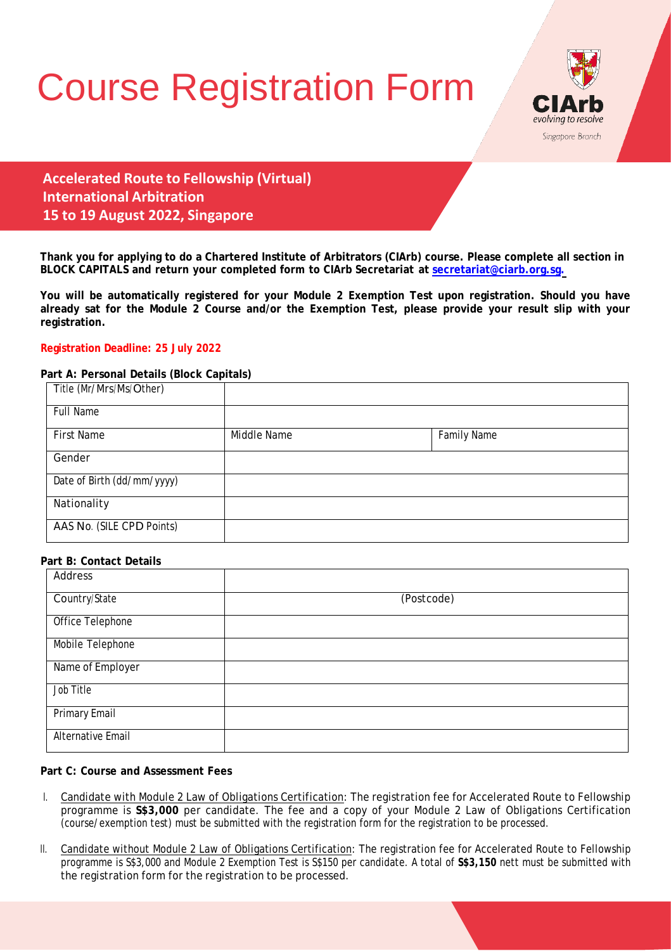# Course Registration Form



**Accelerated Route to Fellowship (Virtual) International Arbitration 15 to 19 August 2022, Singapore**

**Thank you for applying to do a Chartered Institute of Arbitrators (CIArb) course. Please complete all section in BLOCK CAPITALS and return your completed form to CIArb Secretariat at [secretariat@ciarb.org.sg.](mailto:secretariat@ciarb.org.sg)**

**You will be automatically registered for your Module 2 Exemption Test upon registration. Should you have already sat for the Module 2 Course and/or the Exemption Test, please provide your result slip with your registration.**

## **Registration Deadline: 25 July 2022**

## **Part A: Personal Details (Block Capitals)**

| Title (Mr/Mrs/Ms/Other)    |             |                    |  |
|----------------------------|-------------|--------------------|--|
| <b>Full Name</b>           |             |                    |  |
| <b>First Name</b>          | Middle Name | <b>Family Name</b> |  |
| Gender                     |             |                    |  |
| Date of Birth (dd/mm/yyyy) |             |                    |  |
| Nationality                |             |                    |  |
| AAS No. (SILE CPD Points)  |             |                    |  |

## **Part B: Contact Details**

| Address                  |            |
|--------------------------|------------|
| Country/State            | (Postcode) |
| Office Telephone         |            |
| Mobile Telephone         |            |
| Name of Employer         |            |
| Job Title                |            |
| <b>Primary Email</b>     |            |
| <b>Alternative Email</b> |            |

## **Part C: Course and Assessment Fees**

- I. Candidate with Module 2 Law of Obligations Certification: The registration fee for Accelerated Route to Fellowship programme is **S\$3,000** per candidate. The fee and a copy of your Module 2 Law of Obligations Certification (course/exemption test) must be submitted with the registration form for the registration to be processed.
- II. Candidate without Module 2 Law of Obligations Certification: The registration fee for Accelerated Route to Fellowship programme is S\$3,000 and Module 2 Exemption Test is S\$150 per candidate. A total of **S\$3,150** nett must be submitted with the registration form for the registration to be processed.